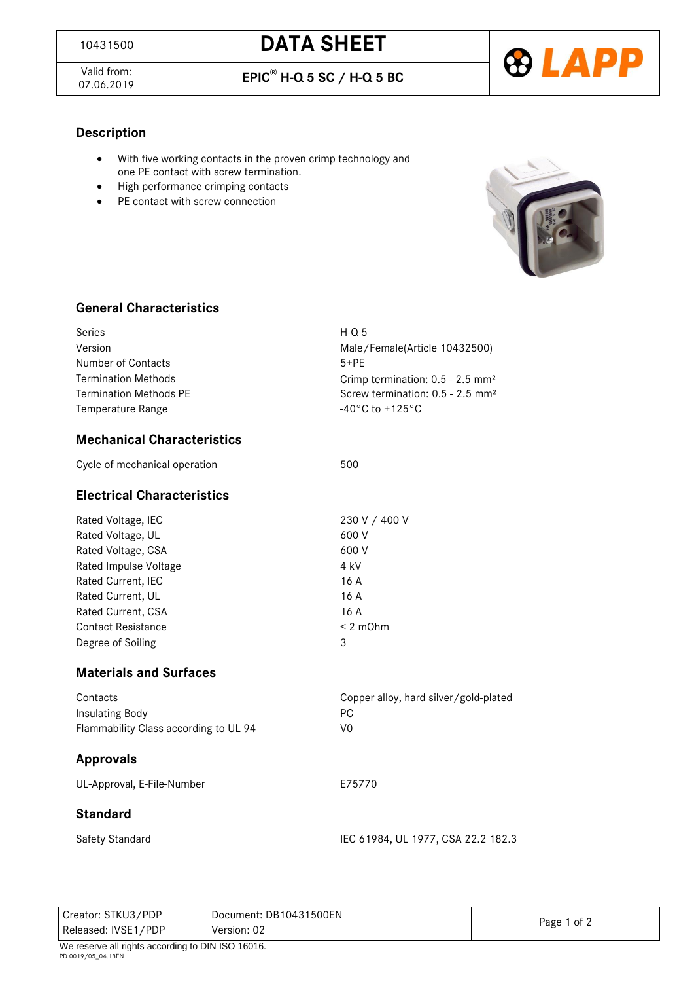Valid from:<br>07.06.2019

07.06.2019 **EPIC**® **H-Q 5 SC / H-Q 5 BC**



#### **Description**

- With five working contacts in the proven crimp technology and one PE contact with screw termination.
- High performance crimping contacts
- PE contact with screw connection



#### **General Characteristics**

| Series<br>Version<br>Number of Contacts<br><b>Termination Methods</b><br><b>Termination Methods PE</b><br>Temperature Range                                                                               | $H - Q$ 5<br>Male/Female(Article 10432500)<br>$5+PE$<br>Crimp termination: 0.5 - 2.5 mm <sup>2</sup><br>Screw termination: 0.5 - 2.5 mm <sup>2</sup><br>-40°C to +125°C |
|-----------------------------------------------------------------------------------------------------------------------------------------------------------------------------------------------------------|-------------------------------------------------------------------------------------------------------------------------------------------------------------------------|
| <b>Mechanical Characteristics</b>                                                                                                                                                                         |                                                                                                                                                                         |
| Cycle of mechanical operation                                                                                                                                                                             | 500                                                                                                                                                                     |
| <b>Electrical Characteristics</b>                                                                                                                                                                         |                                                                                                                                                                         |
| Rated Voltage, IEC<br>Rated Voltage, UL<br>Rated Voltage, CSA<br>Rated Impulse Voltage<br>Rated Current, IEC<br>Rated Current, UL<br>Rated Current, CSA<br><b>Contact Resistance</b><br>Degree of Soiling | 230 V / 400 V<br>600 V<br>600 V<br>4 kV<br>16 A<br>16A<br>16A<br>$< 2$ m $Ohm$<br>3                                                                                     |
| <b>Materials and Surfaces</b>                                                                                                                                                                             |                                                                                                                                                                         |
| Contacts<br><b>Insulating Body</b><br>Flammability Class according to UL 94                                                                                                                               | Copper alloy, hard silver/gold-plated<br>PC<br>V <sub>0</sub>                                                                                                           |
| <b>Approvals</b>                                                                                                                                                                                          |                                                                                                                                                                         |
| UL-Approval, E-File-Number                                                                                                                                                                                | E75770                                                                                                                                                                  |
| <b>Standard</b>                                                                                                                                                                                           |                                                                                                                                                                         |
| Safety Standard                                                                                                                                                                                           | IEC 61984, UL 1977, CSA 22.2 182.3                                                                                                                                      |

Creator: STKU3/PDP Released: IVSE1/PDP Document: DB10431500EN Version: 02 Page 1 of 2